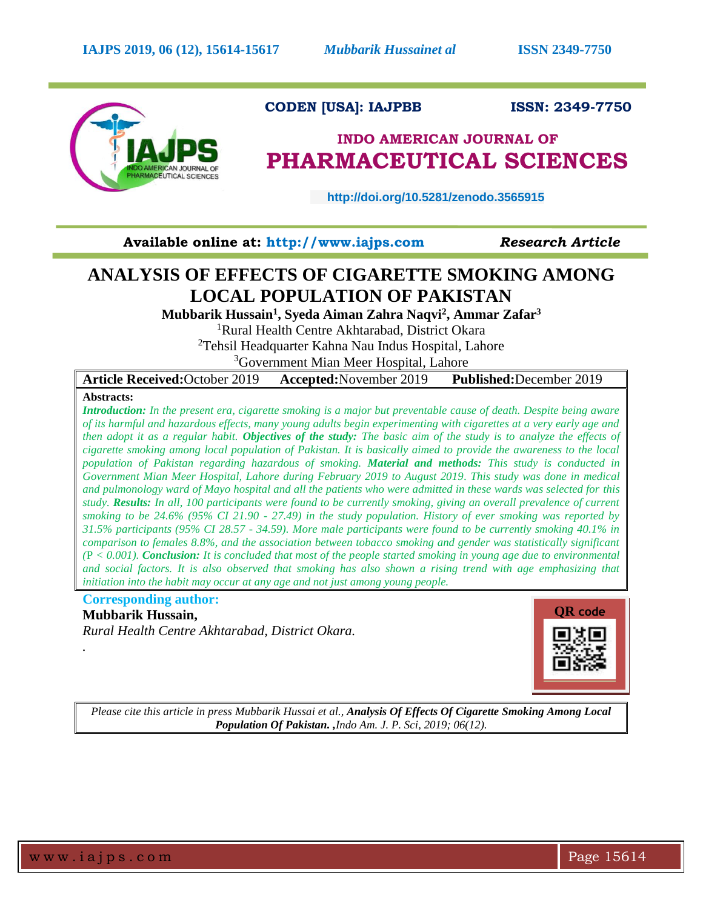

# **CODEN [USA]: IAJPBB ISSN: 2349-7750**

# **INDO AMERICAN JOURNAL OF PHARMACEUTICAL SCIENCES**

 **http://doi.org/10.5281/zenodo.3565915**

**Available online at: [http://www.iajps.com](http://www.iajps.com/)** *Research Article*

# **ANALYSIS OF EFFECTS OF CIGARETTE SMOKING AMONG LOCAL POPULATION OF PAKISTAN**

**Mubbarik Hussain<sup>1</sup> , Syeda Aiman Zahra Naqvi<sup>2</sup> , Ammar Zafar<sup>3</sup>**

<sup>1</sup>Rural Health Centre Akhtarabad, District Okara

<sup>2</sup>Tehsil Headquarter Kahna Nau Indus Hospital, Lahore

<sup>3</sup>Government Mian Meer Hospital, Lahore

**Article Received:**October 2019 **Accepted:**November 2019 **Published:**December 2019

## **Abstracts:**

*Introduction: In the present era, cigarette smoking is a major but preventable cause of death. Despite being aware of its harmful and hazardous effects, many young adults begin experimenting with cigarettes at a very early age and then adopt it as a regular habit. Objectives of the study: The basic aim of the study is to analyze the effects of cigarette smoking among local population of Pakistan. It is basically aimed to provide the awareness to the local population of Pakistan regarding hazardous of smoking. Material and methods: This study is conducted in Government Mian Meer Hospital, Lahore during February 2019 to August 2019. This study was done in medical and pulmonology ward of Mayo hospital and all the patients who were admitted in these wards was selected for this study. Results: In all, 100 participants were found to be currently smoking, giving an overall prevalence of current smoking to be 24.6% (95% CI 21.90 - 27.49) in the study population. History of ever smoking was reported by 31.5% participants (95% CI 28.57 - 34.59). More male participants were found to be currently smoking 40.1% in comparison to females 8.8%, and the association between tobacco smoking and gender was statistically significant (*P *< 0.001). Conclusion: It is concluded that most of the people started smoking in young age due to environmental*  and social factors. It is also observed that smoking has also shown a rising trend with age emphasizing that *initiation into the habit may occur at any age and not just among young people.*

# **Corresponding author:**

**Mubbarik Hussain,**

*Rural Health Centre Akhtarabad, District Okara.*



*Please cite this article in press Mubbarik Hussai et al., Analysis Of Effects Of Cigarette Smoking Among Local Population Of Pakistan. ,Indo Am. J. P. Sci, 2019; 06(12).*

*.*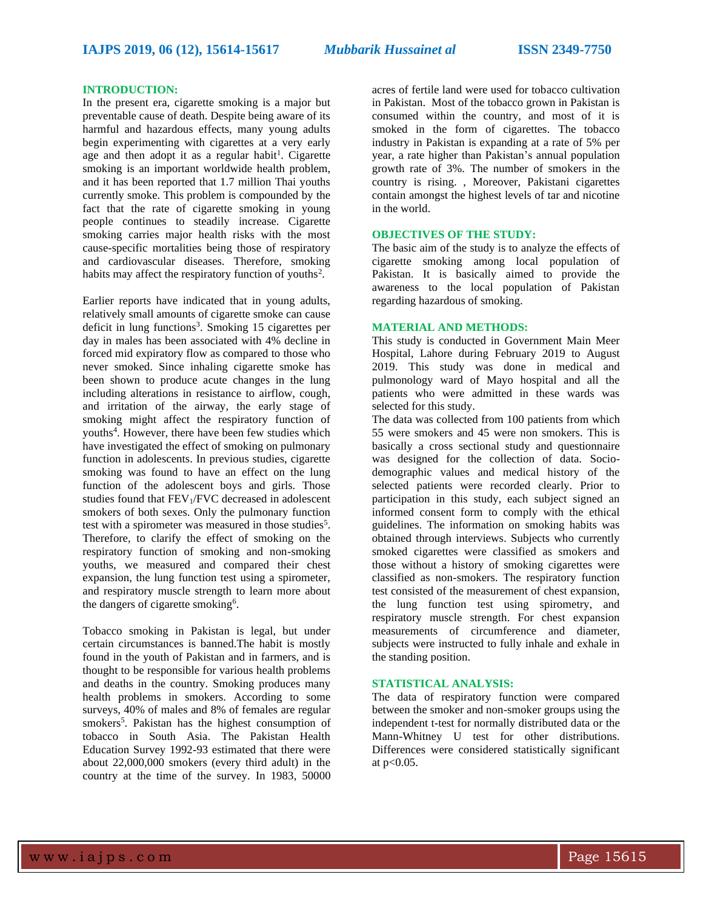#### **INTRODUCTION:**

In the present era, cigarette smoking is a major but preventable cause of death. Despite being aware of its harmful and hazardous effects, many young adults begin experimenting with cigarettes at a very early age and then adopt it as a regular habit<sup>1</sup>. Cigarette smoking is an important worldwide health problem, and it has been reported that 1.7 million Thai youths currently smoke. This problem is compounded by the fact that the rate of cigarette smoking in young people continues to steadily increase. Cigarette smoking carries major health risks with the most cause-specific mortalities being those of respiratory and cardiovascular diseases. Therefore, smoking habits may affect the respiratory function of youths<sup>2</sup>.

Earlier reports have indicated that in young adults, relatively small amounts of cigarette smoke can cause deficit in lung functions<sup>3</sup>. Smoking 15 cigarettes per day in males has been associated with 4% decline in forced mid expiratory flow as compared to those who never smoked. Since inhaling cigarette smoke has been shown to produce acute changes in the lung including alterations in resistance to airflow, cough, and irritation of the airway, the early stage of smoking might affect the respiratory function of youths<sup>4</sup>. However, there have been few studies which have investigated the effect of smoking on pulmonary function in adolescents. In previous studies, cigarette smoking was found to have an effect on the lung function of the adolescent boys and girls. Those studies found that FEV<sub>1</sub>/FVC decreased in adolescent smokers of both sexes. Only the pulmonary function test with a spirometer was measured in those studies<sup>5</sup>. Therefore, to clarify the effect of smoking on the respiratory function of smoking and non-smoking youths, we measured and compared their chest expansion, the lung function test using a spirometer, and respiratory muscle strength to learn more about the dangers of cigarette smoking<sup>6</sup>.

Tobacco smoking in Pakistan is legal, but under certain circumstances is banned.The habit is mostly found in the youth of Pakistan and in farmers, and is thought to be responsible for various health problems and deaths in the country. Smoking produces many health problems in smokers. According to some surveys, 40% of males and 8% of females are regular smokers<sup>5</sup>. Pakistan has the highest consumption of tobacco in South Asia. The Pakistan Health Education Survey 1992-93 estimated that there were about 22,000,000 smokers (every third adult) in the country at the time of the survey. In 1983, 50000

acres of fertile land were used for tobacco cultivation in Pakistan. Most of the tobacco grown in Pakistan is consumed within the country, and most of it is smoked in the form of cigarettes. The tobacco industry in Pakistan is expanding at a rate of 5% per year, a rate higher than Pakistan's annual population growth rate of 3%. The number of smokers in the country is rising. , Moreover, Pakistani cigarettes contain amongst the highest levels of tar and nicotine in the world.

## **OBJECTIVES OF THE STUDY:**

The basic aim of the study is to analyze the effects of cigarette smoking among local population of Pakistan. It is basically aimed to provide the awareness to the local population of Pakistan regarding hazardous of smoking.

#### **MATERIAL AND METHODS:**

This study is conducted in Government Main Meer Hospital, Lahore during February 2019 to August 2019. This study was done in medical and pulmonology ward of Mayo hospital and all the patients who were admitted in these wards was selected for this study.

The data was collected from 100 patients from which 55 were smokers and 45 were non smokers. This is basically a cross sectional study and questionnaire was designed for the collection of data. Sociodemographic values and medical history of the selected patients were recorded clearly. Prior to participation in this study, each subject signed an informed consent form to comply with the ethical guidelines. The information on smoking habits was obtained through interviews. Subjects who currently smoked cigarettes were classified as smokers and those without a history of smoking cigarettes were classified as non-smokers. The respiratory function test consisted of the measurement of chest expansion, the lung function test using spirometry, and respiratory muscle strength. For chest expansion measurements of circumference and diameter, subjects were instructed to fully inhale and exhale in the standing position.

### **STATISTICAL ANALYSIS:**

The data of respiratory function were compared between the smoker and non-smoker groups using the independent t-test for normally distributed data or the Mann-Whitney U test for other distributions. Differences were considered statistically significant at p<0.05.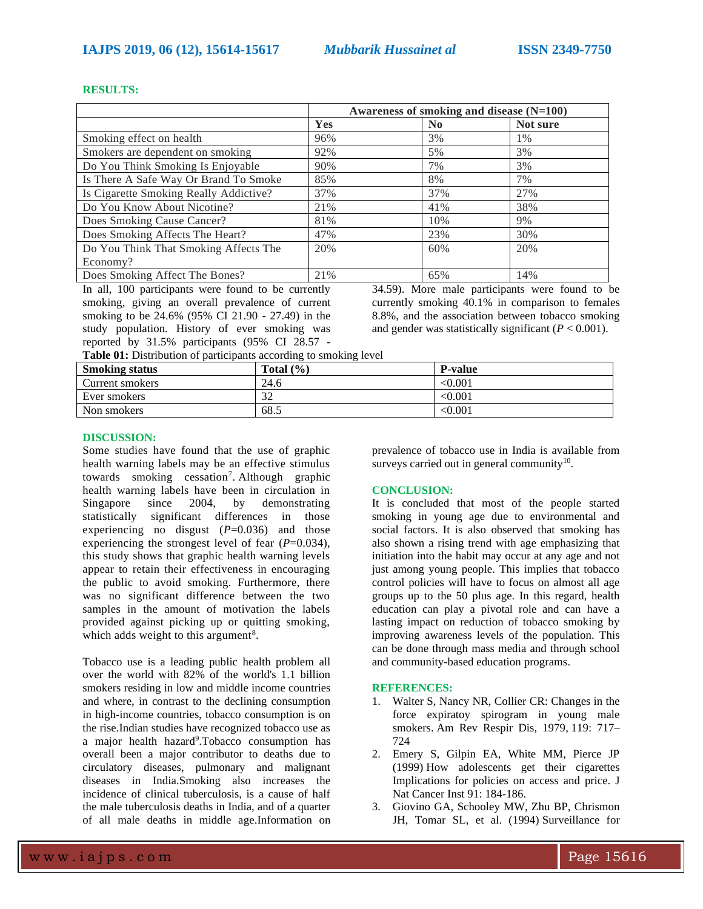#### **RESULTS:**

|                                        | Awareness of smoking and disease (N=100) |                |          |
|----------------------------------------|------------------------------------------|----------------|----------|
|                                        | Yes                                      | N <sub>0</sub> | Not sure |
| Smoking effect on health               | 96%                                      | 3%             | 1%       |
| Smokers are dependent on smoking       | 92%                                      | 5%             | 3%       |
| Do You Think Smoking Is Enjoyable      | 90%                                      | 7%             | 3%       |
| Is There A Safe Way Or Brand To Smoke  | 85%                                      | 8%             | 7%       |
| Is Cigarette Smoking Really Addictive? | 37%                                      | 37%            | 27%      |
| Do You Know About Nicotine?            | 21%                                      | 41%            | 38%      |
| Does Smoking Cause Cancer?             | 81%                                      | 10%            | 9%       |
| Does Smoking Affects The Heart?        | 47%                                      | 23%            | 30%      |
| Do You Think That Smoking Affects The  | 20%                                      | 60%            | 20%      |
| Economy?                               |                                          |                |          |
| Does Smoking Affect The Bones?         | 21%                                      | 65%            | 14%      |

In all, 100 participants were found to be currently smoking, giving an overall prevalence of current smoking to be 24.6% (95% CI 21.90 - 27.49) in the study population. History of ever smoking was reported by 31.5% participants (95% CI 28.57 -

34.59). More male participants were found to be currently smoking 40.1% in comparison to females 8.8%, and the association between tobacco smoking and gender was statistically significant  $(P < 0.001)$ .

| Table 01: Distribution of participants according to smoking level |  |  |
|-------------------------------------------------------------------|--|--|
|                                                                   |  |  |

| <b>Smoking status</b> | Total $(\frac{9}{6})$ | <b>P-value</b> |
|-----------------------|-----------------------|----------------|
| Current smokers       | 24.6                  | < 0.001        |
| Ever smokers          | ົ<br>32               | <0.001         |
| Non smokers           | 68.5                  | $<\!\!0.001$   |

#### **DISCUSSION:**

Some studies have found that the use of graphic health warning labels may be an effective stimulus towards smoking cessation<sup>7</sup>. Although graphic health warning labels have been in circulation in Singapore since 2004, by demonstrating statistically significant differences in those experiencing no disgust  $(P=0.036)$  and those experiencing the strongest level of fear (*P*=0.034), this study shows that graphic health warning levels appear to retain their effectiveness in encouraging the public to avoid smoking. Furthermore, there was no significant difference between the two samples in the amount of motivation the labels provided against picking up or quitting smoking, which adds weight to this argument<sup>8</sup>.

Tobacco use is a leading public health problem all over the world with 82% of the world's 1.1 billion smokers residing in low and middle income countries and where, in contrast to the declining consumption in high-income countries, tobacco consumption is on the rise.Indian studies have recognized tobacco use as a major health hazard<sup>9</sup>. Tobacco consumption has overall been a major contributor to deaths due to circulatory diseases, pulmonary and malignant diseases in India.Smoking also increases the incidence of clinical tuberculosis, is a cause of half the male tuberculosis deaths in India, and of a quarter of all male deaths in middle age.Information on

prevalence of tobacco use in India is available from surveys carried out in general community $10$ .

#### **CONCLUSION:**

It is concluded that most of the people started smoking in young age due to environmental and social factors. It is also observed that smoking has also shown a rising trend with age emphasizing that initiation into the habit may occur at any age and not just among young people. This implies that tobacco control policies will have to focus on almost all age groups up to the 50 plus age. In this regard, health education can play a pivotal role and can have a lasting impact on reduction of tobacco smoking by improving awareness levels of the population. This can be done through mass media and through school and community-based education programs.

### **REFERENCES:**

- 1. Walter S, Nancy NR, Collier CR: Changes in the force expiratoy spirogram in young male smokers. Am Rev Respir Dis, 1979, 119: 717– 724
- 2. Emery S, Gilpin EA, White MM, Pierce JP (1999) [How adolescents get their cigarettes](https://www.ncbi.nlm.nih.gov/pubmed/9923862)  [Implications for policies on access and price. J](https://www.ncbi.nlm.nih.gov/pubmed/9923862)  [Nat Cancer Inst 91: 184-186.](https://www.ncbi.nlm.nih.gov/pubmed/9923862)
- 3. Giovino GA, Schooley MW, Zhu BP, Chrismon JH, Tomar SL, et al. (1994) [Surveillance for](https://www.ncbi.nlm.nih.gov/pubmed/7969014)